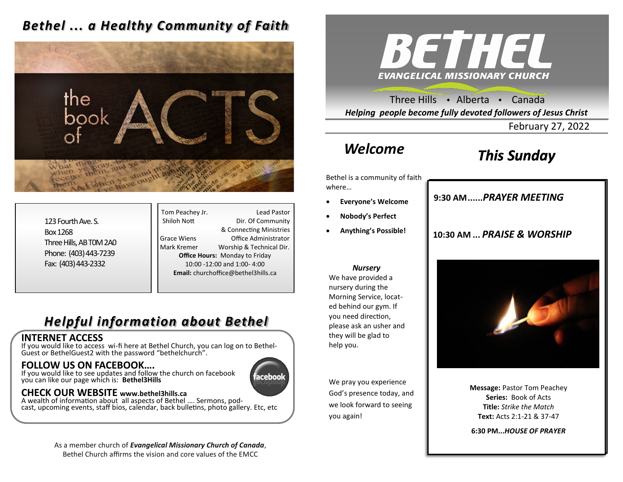### *Bethel ... a Healthy Community of Faith*



123 Fourth Ave. S. Box 1268 Three Hills, AB T0M 2A0 Phone: (403) 443-7239 Fax: (403) 443-2332

Tom Peachey Jr. **Lead Pastor** Shiloh Nott Dir. Of Community & Connecting Ministries Grace Wiens Office Administrator Mark Kremer Worship & Technical Dir. **Office Hours:** Monday to Friday 10:00 -12:00 and 1:00- 4:00 **Email:** churchoffice@bethel3hills.ca

## *Helpful information about Bethel*

#### **INTERNET ACCESS**

If you would like to access wi-fi here at Bethel Church, you can log on to Bethel-Guest or BethelGuest2 with the password "bethelchurch".

### **FOLLOW US ON FACEBOOK….**

If you would like to see updates and follow the church on facebook you can like our page which is: **Bethel3Hills**

# aceboo

### **CHECK OUR WEBSITE www.bethel3hills.ca**

A wealth of information about all aspects of Bethel …. Sermons, podcast, upcoming events, staff bios, calendar, back bulletins, photo gallery. Etc, etc

> As a member church of *Evangelical Missionary Church of Canada*, Bethel Church affirms the vision and core values of the EMCC



Three Hills  $\rightarrow$  Alberta  $\rightarrow$  Canada *Helping people become fully devoted followers of Jesus Christ*

February 27, 2022

# *Welcome*

# *This Sunday*

Bethel is a community of faith where…

- **Everyone's Welcome**
- **Nobody's Perfect**
- **Anything's Possible!**

### **9:30 AM......***SUNDAY SCHOOL* **9:30 AM......***PRAYER MEETING*

### **10:30 AM ...** *PRAISE & WORSHIP*

#### *Nursery*

We have provided a nursery during the Morning Service, located behind our gym. If you need direction, please ask an usher and they will be glad to help you.

We pray you experience God's presence today, and we look forward to seeing you again!



**Message:** Pastor Tom Peachey **Series:** Book of Acts **Title:** *Strike the Match* **Text:** Acts 2:1-21 & 37-47

**6:30 PM...***HOUSE OF PRAYER*